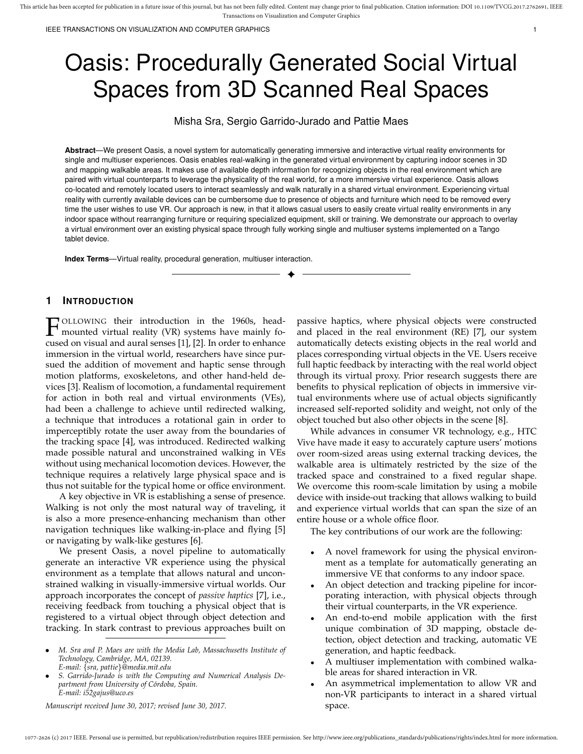# Oasis: Procedurally Generated Social Virtual Spaces from 3D Scanned Real Spaces

Misha Sra, Sergio Garrido-Jurado and Pattie Maes

**Abstract**—We present Oasis, a novel system for automatically generating immersive and interactive virtual reality environments for single and multiuser experiences. Oasis enables real-walking in the generated virtual environment by capturing indoor scenes in 3D and mapping walkable areas. It makes use of available depth information for recognizing objects in the real environment which are paired with virtual counterparts to leverage the physicality of the real world, for a more immersive virtual experience. Oasis allows co-located and remotely located users to interact seamlessly and walk naturally in a shared virtual environment. Experiencing virtual reality with currently available devices can be cumbersome due to presence of objects and furniture which need to be removed every time the user wishes to use VR. Our approach is new, in that it allows casual users to easily create virtual reality environments in any indoor space without rearranging furniture or requiring specialized equipment, skill or training. We demonstrate our approach to overlay a virtual environment over an existing physical space through fully working single and multiuser systems implemented on a Tango tablet device.

✦

**Index Terms**—Virtual reality, procedural generation, multiuser interaction.

## **1 INTRODUCTION**

**FE** OLLOWING their introduction in the 1960s, head-<br>mounted virtual reality (VR) systems have mainly fo-<br>cused on visual and aural senses [1], [2]. In order to enhance OLLOWING their introduction in the 1960s, headmounted virtual reality (VR) systems have mainly foimmersion in the virtual world, researchers have since pursued the addition of movement and haptic sense through motion platforms, exoskeletons, and other hand-held devices [3]. Realism of locomotion, a fundamental requirement for action in both real and virtual environments (VEs), had been a challenge to achieve until redirected walking, a technique that introduces a rotational gain in order to imperceptibly rotate the user away from the boundaries of the tracking space [4], was introduced. Redirected walking made possible natural and unconstrained walking in VEs without using mechanical locomotion devices. However, the technique requires a relatively large physical space and is thus not suitable for the typical home or office environment.

A key objective in VR is establishing a sense of presence. Walking is not only the most natural way of traveling, it is also a more presence-enhancing mechanism than other navigation techniques like walking-in-place and flying [5] or navigating by walk-like gestures [6].

We present Oasis, a novel pipeline to automatically generate an interactive VR experience using the physical environment as a template that allows natural and unconstrained walking in visually-immersive virtual worlds. Our approach incorporates the concept of *passive haptics* [7], i.e., receiving feedback from touching a physical object that is registered to a virtual object through object detection and tracking. In stark contrast to previous approaches built on

- *M. Sra and P. Maes are with the Media Lab, Massachusetts Institute of Technology, Cambridge, MA, 02139. E-mail:* {*sra, pattie*}*@media.mit.edu*
- *S. Garrido-Jurado is with the Computing and Numerical Analysis Department from University of C´ordoba, Spain. E-mail: i52gajus@uco.es*

*Manuscript received June 30, 2017; revised June 30, 2017.*

passive haptics, where physical objects were constructed and placed in the real environment (RE) [7], our system automatically detects existing objects in the real world and places corresponding virtual objects in the VE. Users receive full haptic feedback by interacting with the real world object through its virtual proxy. Prior research suggests there are benefits to physical replication of objects in immersive virtual environments where use of actual objects significantly increased self-reported solidity and weight, not only of the object touched but also other objects in the scene [8].

While advances in consumer VR technology, e.g., HTC Vive have made it easy to accurately capture users' motions over room-sized areas using external tracking devices, the walkable area is ultimately restricted by the size of the tracked space and constrained to a fixed regular shape. We overcome this room-scale limitation by using a mobile device with inside-out tracking that allows walking to build and experience virtual worlds that can span the size of an entire house or a whole office floor.

The key contributions of our work are the following:

- A novel framework for using the physical environment as a template for automatically generating an immersive VE that conforms to any indoor space.
- An object detection and tracking pipeline for incorporating interaction, with physical objects through their virtual counterparts, in the VR experience.
- An end-to-end mobile application with the first unique combination of 3D mapping, obstacle detection, object detection and tracking, automatic VE generation, and haptic feedback.
- A multiuser implementation with combined walkable areas for shared interaction in VR.
- An asymmetrical implementation to allow VR and non-VR participants to interact in a shared virtual space.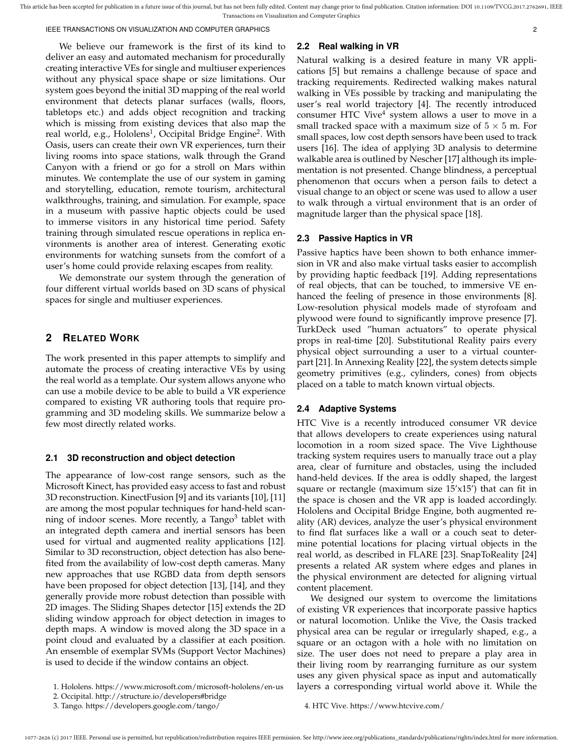IEEE TRANSACTIONS ON VISUALIZATION AND COMPUTER GRAPHICS 2

We believe our framework is the first of its kind to deliver an easy and automated mechanism for procedurally creating interactive VEs for single and multiuser experiences without any physical space shape or size limitations. Our system goes beyond the initial 3D mapping of the real world environment that detects planar surfaces (walls, floors, tabletops etc.) and adds object recognition and tracking which is missing from existing devices that also map the real world, e.g., Hololens<sup>1</sup>, Occipital Bridge Engine<sup>2</sup>. With Oasis, users can create their own VR experiences, turn their living rooms into space stations, walk through the Grand Canyon with a friend or go for a stroll on Mars within minutes. We contemplate the use of our system in gaming and storytelling, education, remote tourism, architectural walkthroughs, training, and simulation. For example, space in a museum with passive haptic objects could be used to immerse visitors in any historical time period. Safety training through simulated rescue operations in replica environments is another area of interest. Generating exotic environments for watching sunsets from the comfort of a user's home could provide relaxing escapes from reality.

We demonstrate our system through the generation of four different virtual worlds based on 3D scans of physical spaces for single and multiuser experiences.

# **2 RELATED WORK**

The work presented in this paper attempts to simplify and automate the process of creating interactive VEs by using the real world as a template. Our system allows anyone who can use a mobile device to be able to build a VR experience compared to existing VR authoring tools that require programming and 3D modeling skills. We summarize below a few most directly related works.

## **2.1 3D reconstruction and object detection**

The appearance of low-cost range sensors, such as the Microsoft Kinect, has provided easy access to fast and robust 3D reconstruction. KinectFusion [9] and its variants [10], [11] are among the most popular techniques for hand-held scanning of indoor scenes. More recently, a Tango<sup>3</sup> tablet with an integrated depth camera and inertial sensors has been used for virtual and augmented reality applications [12]. Similar to 3D reconstruction, object detection has also benefited from the availability of low-cost depth cameras. Many new approaches that use RGBD data from depth sensors have been proposed for object detection [13], [14], and they generally provide more robust detection than possible with 2D images. The Sliding Shapes detector [15] extends the 2D sliding window approach for object detection in images to depth maps. A window is moved along the 3D space in a point cloud and evaluated by a classifier at each position. An ensemble of exemplar SVMs (Support Vector Machines) is used to decide if the window contains an object.

## **2.2 Real walking in VR**

Natural walking is a desired feature in many VR applications [5] but remains a challenge because of space and tracking requirements. Redirected walking makes natural walking in VEs possible by tracking and manipulating the user's real world trajectory [4]. The recently introduced consumer HTC Vive $^4$  system allows a user to move in a small tracked space with a maximum size of  $5 \times 5$  m. For small spaces, low cost depth sensors have been used to track users [16]. The idea of applying 3D analysis to determine walkable area is outlined by Nescher [17] although its implementation is not presented. Change blindness, a perceptual phenomenon that occurs when a person fails to detect a visual change to an object or scene was used to allow a user to walk through a virtual environment that is an order of magnitude larger than the physical space [18].

## **2.3 Passive Haptics in VR**

Passive haptics have been shown to both enhance immersion in VR and also make virtual tasks easier to accomplish by providing haptic feedback [19]. Adding representations of real objects, that can be touched, to immersive VE enhanced the feeling of presence in those environments [8]. Low-resolution physical models made of styrofoam and plywood were found to significantly improve presence [7]. TurkDeck used "human actuators" to operate physical props in real-time [20]. Substitutional Reality pairs every physical object surrounding a user to a virtual counterpart [21]. In Annexing Reality [22], the system detects simple geometry primitives (e.g., cylinders, cones) from objects placed on a table to match known virtual objects.

## **2.4 Adaptive Systems**

HTC Vive is a recently introduced consumer VR device that allows developers to create experiences using natural locomotion in a room sized space. The Vive Lighthouse tracking system requires users to manually trace out a play area, clear of furniture and obstacles, using the included hand-held devices. If the area is oddly shaped, the largest square or rectangle (maximum size 15'x15') that can fit in the space is chosen and the VR app is loaded accordingly. Hololens and Occipital Bridge Engine, both augmented reality (AR) devices, analyze the user's physical environment to find flat surfaces like a wall or a couch seat to determine potential locations for placing virtual objects in the real world, as described in FLARE [23]. SnapToReality [24] presents a related AR system where edges and planes in the physical environment are detected for aligning virtual content placement.

We designed our system to overcome the limitations of existing VR experiences that incorporate passive haptics or natural locomotion. Unlike the Vive, the Oasis tracked physical area can be regular or irregularly shaped, e.g., a square or an octagon with a hole with no limitation on size. The user does not need to prepare a play area in their living room by rearranging furniture as our system uses any given physical space as input and automatically layers a corresponding virtual world above it. While the

4. HTC Vive.<https://www.htcvive.com/>

<sup>1.</sup> Hololens.<https://www.microsoft.com/microsoft-hololens/en-us>

<sup>2.</sup> Occipital.<http://structure.io/developers#bridge>

<sup>3.</sup> Tango.<https://developers.google.com/tango/>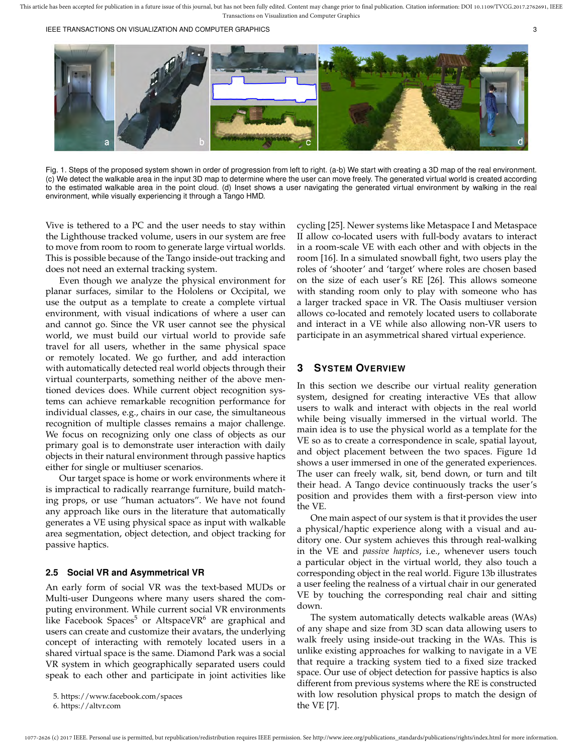IEEE TRANSACTIONS ON VISUALIZATION AND COMPUTER GRAPHICS 3



Fig. 1. Steps of the proposed system shown in order of progression from left to right. (a-b) We start with creating a 3D map of the real environment. (c) We detect the walkable area in the input 3D map to determine where the user can move freely. The generated virtual world is created according to the estimated walkable area in the point cloud. (d) Inset shows a user navigating the generated virtual environment by walking in the real environment, while visually experiencing it through a Tango HMD.

Vive is tethered to a PC and the user needs to stay within the Lighthouse tracked volume, users in our system are free to move from room to room to generate large virtual worlds. This is possible because of the Tango inside-out tracking and does not need an external tracking system.

Even though we analyze the physical environment for planar surfaces, similar to the Hololens or Occipital, we use the output as a template to create a complete virtual environment, with visual indications of where a user can and cannot go. Since the VR user cannot see the physical world, we must build our virtual world to provide safe travel for all users, whether in the same physical space or remotely located. We go further, and add interaction with automatically detected real world objects through their virtual counterparts, something neither of the above mentioned devices does. While current object recognition systems can achieve remarkable recognition performance for individual classes, e.g., chairs in our case, the simultaneous recognition of multiple classes remains a major challenge. We focus on recognizing only one class of objects as our primary goal is to demonstrate user interaction with daily objects in their natural environment through passive haptics either for single or multiuser scenarios.

Our target space is home or work environments where it is impractical to radically rearrange furniture, build matching props, or use "human actuators". We have not found any approach like ours in the literature that automatically generates a VE using physical space as input with walkable area segmentation, object detection, and object tracking for passive haptics.

#### **2.5 Social VR and Asymmetrical VR**

An early form of social VR was the text-based MUDs or Multi-user Dungeons where many users shared the computing environment. While current social VR environments like Facebook Spaces $^5$  or AltspaceVR $^6$  are graphical and users can create and customize their avatars, the underlying concept of interacting with remotely located users in a shared virtual space is the same. Diamond Park was a social VR system in which geographically separated users could speak to each other and participate in joint activities like

6.<https://altvr.com>

cycling [25]. Newer systems like Metaspace I and Metaspace II allow co-located users with full-body avatars to interact in a room-scale VE with each other and with objects in the room [16]. In a simulated snowball fight, two users play the roles of 'shooter' and 'target' where roles are chosen based on the size of each user's RE [26]. This allows someone with standing room only to play with someone who has a larger tracked space in VR. The Oasis multiuser version allows co-located and remotely located users to collaborate and interact in a VE while also allowing non-VR users to participate in an asymmetrical shared virtual experience.

## **3 SYSTEM OVERVIEW**

In this section we describe our virtual reality generation system, designed for creating interactive VEs that allow users to walk and interact with objects in the real world while being visually immersed in the virtual world. The main idea is to use the physical world as a template for the VE so as to create a correspondence in scale, spatial layout, and object placement between the two spaces. Figure 1d shows a user immersed in one of the generated experiences. The user can freely walk, sit, bend down, or turn and tilt their head. A Tango device continuously tracks the user's position and provides them with a first-person view into the VE.

One main aspect of our system is that it provides the user a physical/haptic experience along with a visual and auditory one. Our system achieves this through real-walking in the VE and *passive haptics*, i.e., whenever users touch a particular object in the virtual world, they also touch a corresponding object in the real world. Figure 13b illustrates a user feeling the realness of a virtual chair in our generated VE by touching the corresponding real chair and sitting down.

The system automatically detects walkable areas (WAs) of any shape and size from 3D scan data allowing users to walk freely using inside-out tracking in the WAs. This is unlike existing approaches for walking to navigate in a VE that require a tracking system tied to a fixed size tracked space. Our use of object detection for passive haptics is also different from previous systems where the RE is constructed with low resolution physical props to match the design of the VE [7].

<sup>5.</sup><https://www.facebook.com/spaces>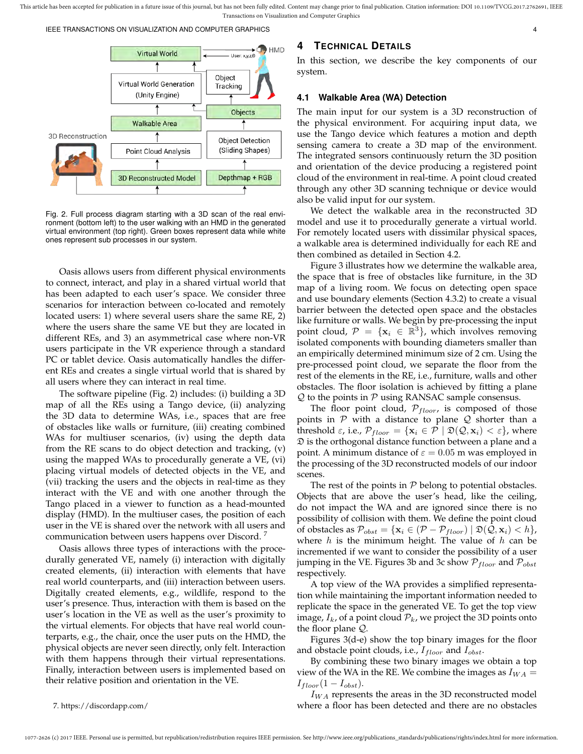IEEE TRANSACTIONS ON VISUALIZATION AND COMPUTER GRAPHICS 4



Fig. 2. Full process diagram starting with a 3D scan of the real environment (bottom left) to the user walking with an HMD in the generated virtual environment (top right). Green boxes represent data while white ones represent sub processes in our system.

Oasis allows users from different physical environments to connect, interact, and play in a shared virtual world that has been adapted to each user's space. We consider three scenarios for interaction between co-located and remotely located users: 1) where several users share the same RE, 2) where the users share the same VE but they are located in different REs, and 3) an asymmetrical case where non-VR users participate in the VR experience through a standard PC or tablet device. Oasis automatically handles the different REs and creates a single virtual world that is shared by all users where they can interact in real time.

The software pipeline (Fig. 2) includes: (i) building a 3D map of all the REs using a Tango device, (ii) analyzing the 3D data to determine WAs, i.e., spaces that are free of obstacles like walls or furniture, (iii) creating combined WAs for multiuser scenarios, (iv) using the depth data from the RE scans to do object detection and tracking, (v) using the mapped WAs to procedurally generate a VE, (vi) placing virtual models of detected objects in the VE, and (vii) tracking the users and the objects in real-time as they interact with the VE and with one another through the Tango placed in a viewer to function as a head-mounted display (HMD). In the multiuser cases, the position of each user in the VE is shared over the network with all users and communication between users happens over Discord. 7

Oasis allows three types of interactions with the procedurally generated VE, namely (i) interaction with digitally created elements, (ii) interaction with elements that have real world counterparts, and (iii) interaction between users. Digitally created elements, e.g., wildlife, respond to the user's presence. Thus, interaction with them is based on the user's location in the VE as well as the user's proximity to the virtual elements. For objects that have real world counterparts, e.g., the chair, once the user puts on the HMD, the physical objects are never seen directly, only felt. Interaction with them happens through their virtual representations. Finally, interaction between users is implemented based on their relative position and orientation in the VE.

# **4 TECHNICAL DETAILS**

In this section, we describe the key components of our system.

## **4.1 Walkable Area (WA) Detection**

The main input for our system is a 3D reconstruction of the physical environment. For acquiring input data, we use the Tango device which features a motion and depth sensing camera to create a 3D map of the environment. The integrated sensors continuously return the 3D position and orientation of the device producing a registered point cloud of the environment in real-time. A point cloud created through any other 3D scanning technique or device would also be valid input for our system.

We detect the walkable area in the reconstructed 3D model and use it to procedurally generate a virtual world. For remotely located users with dissimilar physical spaces, a walkable area is determined individually for each RE and then combined as detailed in Section 4.2.

Figure 3 illustrates how we determine the walkable area, the space that is free of obstacles like furniture, in the 3D map of a living room. We focus on detecting open space and use boundary elements (Section 4.3.2) to create a visual barrier between the detected open space and the obstacles like furniture or walls. We begin by pre-processing the input point cloud,  $\mathcal{P} = \{ \mathbf{x}_i \in \mathbb{R}^3 \}$ , which involves removing isolated components with bounding diameters smaller than an empirically determined minimum size of 2 cm. Using the pre-processed point cloud, we separate the floor from the rest of the elements in the RE, i.e., furniture, walls and other obstacles. The floor isolation is achieved by fitting a plane  $Q$  to the points in  $P$  using RANSAC sample consensus.

The floor point cloud,  $P_{floor}$ , is composed of those points in  $P$  with a distance to plane  $Q$  shorter than a threshold  $\varepsilon$ , i.e.,  $\mathcal{P}_{floor} = {\mathbf{x}_i \in \overline{\mathcal{P}} \mid \mathfrak{D}(\mathcal{Q}, \mathbf{x}_i) < \varepsilon}$ , where D is the orthogonal distance function between a plane and a point. A minimum distance of  $\varepsilon = 0.05$  m was employed in the processing of the 3D reconstructed models of our indoor scenes.

The rest of the points in  $P$  belong to potential obstacles. Objects that are above the user's head, like the ceiling, do not impact the WA and are ignored since there is no possibility of collision with them. We define the point cloud of obstacles as  $\mathcal{P}_{obst} = {\mathbf{x}_i \in (\mathcal{P} - \mathcal{P}_{floor}) \mid \mathfrak{D}(\mathcal{Q}, \mathbf{x}_i) < h},$ where  $h$  is the minimum height. The value of  $h$  can be incremented if we want to consider the possibility of a user jumping in the VE. Figures 3b and 3c show  $\mathcal{P}_{floor}$  and  $\mathcal{P}_{obst}$ respectively.

A top view of the WA provides a simplified representation while maintaining the important information needed to replicate the space in the generated VE. To get the top view image,  $I_k$ , of a point cloud  $\mathcal{P}_k$ , we project the 3D points onto the floor plane Q.

Figures 3(d-e) show the top binary images for the floor and obstacle point clouds, i.e.,  $I_{floor}$  and  $I_{obst}$ .

By combining these two binary images we obtain a top view of the WA in the RE. We combine the images as  $I_{WA} =$  $I_{floor}(1-I_{obst}).$ 

 $I_{WA}$  represents the areas in the 3D reconstructed model where a floor has been detected and there are no obstacles

1077-2626 (c) 2017 IEEE. Personal use is permitted, but republication/redistribution requires IEEE permission. See http://www.ieee.org/publications\_standards/publications/rights/index.html for more information.

This article has been accepted for publication in a future issue of this journal, but has not been fully edited. Content may change prior to final publication. Citation information: DOI 10.1109/TVCG.2017.2762691, IEEE Transactions on Visualization and Computer Graphics

<sup>7.</sup><https://discordapp.com/>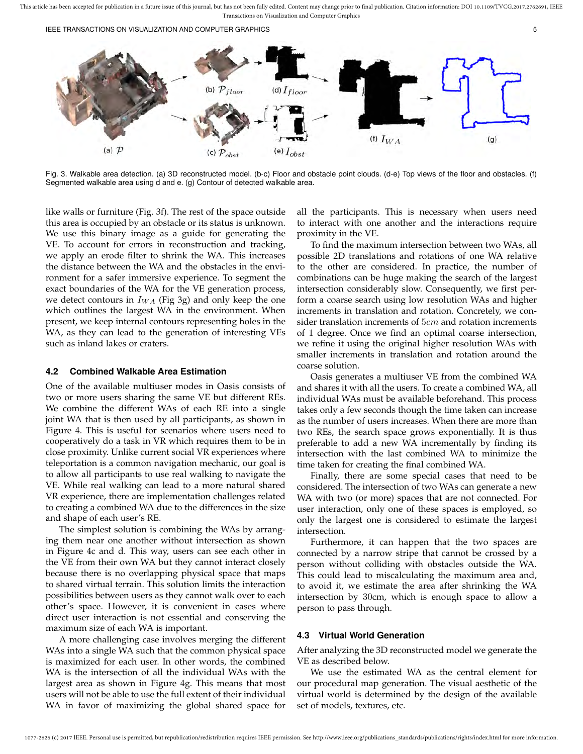IEEE TRANSACTIONS ON VISUALIZATION AND COMPUTER GRAPHICS 5



Fig. 3. Walkable area detection. (a) 3D reconstructed model. (b-c) Floor and obstacle point clouds. (d-e) Top views of the floor and obstacles. (f) Segmented walkable area using d and e. (g) Contour of detected walkable area.

like walls or furniture (Fig. 3f). The rest of the space outside this area is occupied by an obstacle or its status is unknown. We use this binary image as a guide for generating the VE. To account for errors in reconstruction and tracking, we apply an erode filter to shrink the WA. This increases the distance between the WA and the obstacles in the environment for a safer immersive experience. To segment the exact boundaries of the WA for the VE generation process, we detect contours in  $I_{WA}$  (Fig 3g) and only keep the one which outlines the largest WA in the environment. When present, we keep internal contours representing holes in the WA, as they can lead to the generation of interesting VEs such as inland lakes or craters.

## **4.2 Combined Walkable Area Estimation**

One of the available multiuser modes in Oasis consists of two or more users sharing the same VE but different REs. We combine the different WAs of each RE into a single joint WA that is then used by all participants, as shown in Figure 4. This is useful for scenarios where users need to cooperatively do a task in VR which requires them to be in close proximity. Unlike current social VR experiences where teleportation is a common navigation mechanic, our goal is to allow all participants to use real walking to navigate the VE. While real walking can lead to a more natural shared VR experience, there are implementation challenges related to creating a combined WA due to the differences in the size and shape of each user's RE.

The simplest solution is combining the WAs by arranging them near one another without intersection as shown in Figure 4c and d. This way, users can see each other in the VE from their own WA but they cannot interact closely because there is no overlapping physical space that maps to shared virtual terrain. This solution limits the interaction possibilities between users as they cannot walk over to each other's space. However, it is convenient in cases where direct user interaction is not essential and conserving the maximum size of each WA is important.

A more challenging case involves merging the different WAs into a single WA such that the common physical space is maximized for each user. In other words, the combined WA is the intersection of all the individual WAs with the largest area as shown in Figure 4g. This means that most users will not be able to use the full extent of their individual WA in favor of maximizing the global shared space for

all the participants. This is necessary when users need to interact with one another and the interactions require proximity in the VE.

To find the maximum intersection between two WAs, all possible 2D translations and rotations of one WA relative to the other are considered. In practice, the number of combinations can be huge making the search of the largest intersection considerably slow. Consequently, we first perform a coarse search using low resolution WAs and higher increments in translation and rotation. Concretely, we consider translation increments of  $5cm$  and rotation increments of 1 degree. Once we find an optimal coarse intersection, we refine it using the original higher resolution WAs with smaller increments in translation and rotation around the coarse solution.

Oasis generates a multiuser VE from the combined WA and shares it with all the users. To create a combined WA, all individual WAs must be available beforehand. This process takes only a few seconds though the time taken can increase as the number of users increases. When there are more than two REs, the search space grows exponentially. It is thus preferable to add a new WA incrementally by finding its intersection with the last combined WA to minimize the time taken for creating the final combined WA.

Finally, there are some special cases that need to be considered. The intersection of two WAs can generate a new WA with two (or more) spaces that are not connected. For user interaction, only one of these spaces is employed, so only the largest one is considered to estimate the largest intersection.

Furthermore, it can happen that the two spaces are connected by a narrow stripe that cannot be crossed by a person without colliding with obstacles outside the WA. This could lead to miscalculating the maximum area and, to avoid it, we estimate the area after shrinking the WA intersection by 30cm, which is enough space to allow a person to pass through.

## **4.3 Virtual World Generation**

After analyzing the 3D reconstructed model we generate the VE as described below.

We use the estimated WA as the central element for our procedural map generation. The visual aesthetic of the virtual world is determined by the design of the available set of models, textures, etc.

This article has been accepted for publication in a future issue of this journal, but has not been fully edited. Content may change prior to final publication. Citation information: DOI 10.1109/TVCG.2017.2762691, IEEE Transactions on Visualization and Computer Graphics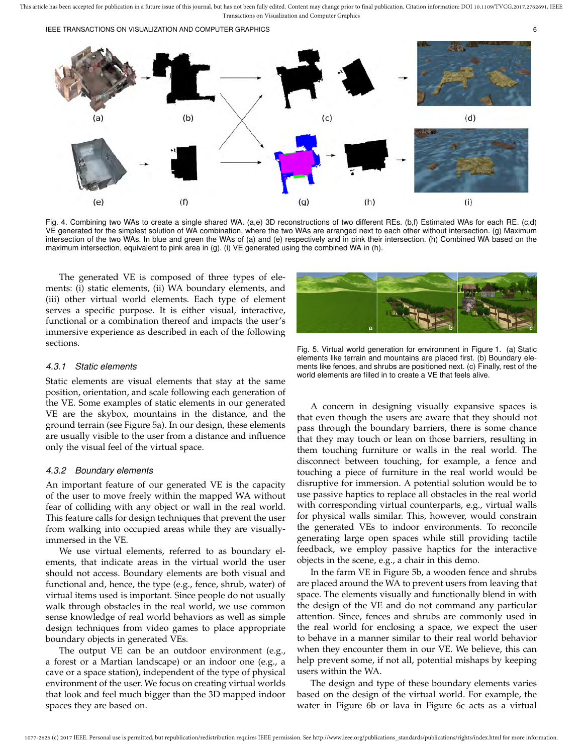IEEE TRANSACTIONS ON VISUALIZATION AND COMPUTER GRAPHICS 6



Fig. 4. Combining two WAs to create a single shared WA. (a,e) 3D reconstructions of two different REs. (b,f) Estimated WAs for each RE. (c,d) VE generated for the simplest solution of WA combination, where the two WAs are arranged next to each other without intersection. (g) Maximum intersection of the two WAs. In blue and green the WAs of (a) and (e) respectively and in pink their intersection. (h) Combined WA based on the maximum intersection, equivalent to pink area in (g). (i) VE generated using the combined WA in (h).

The generated VE is composed of three types of elements: (i) static elements, (ii) WA boundary elements, and (iii) other virtual world elements. Each type of element serves a specific purpose. It is either visual, interactive, functional or a combination thereof and impacts the user's immersive experience as described in each of the following sections.

## *4.3.1 Static elements*

Static elements are visual elements that stay at the same position, orientation, and scale following each generation of the VE. Some examples of static elements in our generated VE are the skybox, mountains in the distance, and the ground terrain (see Figure 5a). In our design, these elements are usually visible to the user from a distance and influence only the visual feel of the virtual space.

## *4.3.2 Boundary elements*

An important feature of our generated VE is the capacity of the user to move freely within the mapped WA without fear of colliding with any object or wall in the real world. This feature calls for design techniques that prevent the user from walking into occupied areas while they are visuallyimmersed in the VE.

We use virtual elements, referred to as boundary elements, that indicate areas in the virtual world the user should not access. Boundary elements are both visual and functional and, hence, the type (e.g., fence, shrub, water) of virtual items used is important. Since people do not usually walk through obstacles in the real world, we use common sense knowledge of real world behaviors as well as simple design techniques from video games to place appropriate boundary objects in generated VEs.

The output VE can be an outdoor environment (e.g., a forest or a Martian landscape) or an indoor one (e.g., a cave or a space station), independent of the type of physical environment of the user. We focus on creating virtual worlds that look and feel much bigger than the 3D mapped indoor spaces they are based on.



Fig. 5. Virtual world generation for environment in Figure 1. (a) Static elements like terrain and mountains are placed first. (b) Boundary elements like fences, and shrubs are positioned next. (c) Finally, rest of the world elements are filled in to create a VE that feels alive.

A concern in designing visually expansive spaces is that even though the users are aware that they should not pass through the boundary barriers, there is some chance that they may touch or lean on those barriers, resulting in them touching furniture or walls in the real world. The disconnect between touching, for example, a fence and touching a piece of furniture in the real world would be disruptive for immersion. A potential solution would be to use passive haptics to replace all obstacles in the real world with corresponding virtual counterparts, e.g., virtual walls for physical walls similar. This, however, would constrain the generated VEs to indoor environments. To reconcile generating large open spaces while still providing tactile feedback, we employ passive haptics for the interactive objects in the scene, e.g., a chair in this demo.

In the farm VE in Figure 5b, a wooden fence and shrubs are placed around the WA to prevent users from leaving that space. The elements visually and functionally blend in with the design of the VE and do not command any particular attention. Since, fences and shrubs are commonly used in the real world for enclosing a space, we expect the user to behave in a manner similar to their real world behavior when they encounter them in our VE. We believe, this can help prevent some, if not all, potential mishaps by keeping users within the WA.

The design and type of these boundary elements varies based on the design of the virtual world. For example, the water in Figure 6b or lava in Figure 6c acts as a virtual

This article has been accepted for publication in a future issue of this journal, but has not been fully edited. Content may change prior to final publication. Citation information: DOI 10.1109/TVCG.2017.2762691, IEEE Transactions on Visualization and Computer Graphics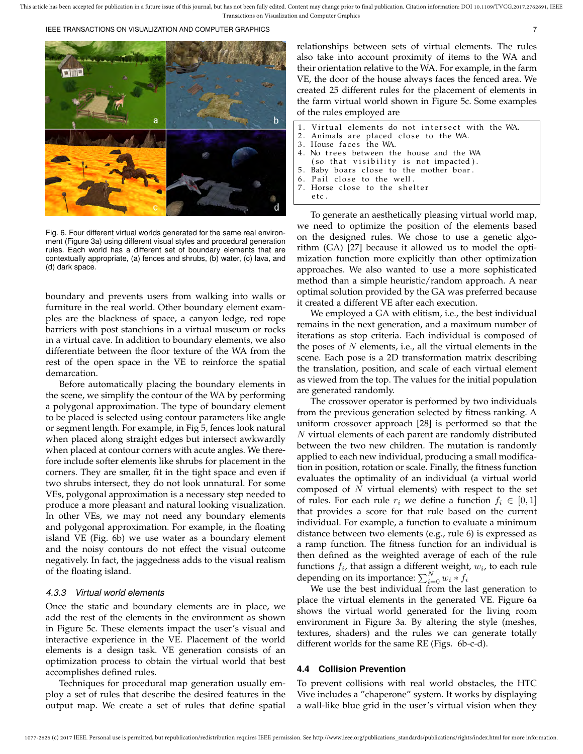#### IEEE TRANSACTIONS ON VISUALIZATION AND COMPUTER GRAPHICS 7



Fig. 6. Four different virtual worlds generated for the same real environment (Figure 3a) using different visual styles and procedural generation rules. Each world has a different set of boundary elements that are contextually appropriate, (a) fences and shrubs, (b) water, (c) lava, and (d) dark space.

boundary and prevents users from walking into walls or furniture in the real world. Other boundary element examples are the blackness of space, a canyon ledge, red rope barriers with post stanchions in a virtual museum or rocks in a virtual cave. In addition to boundary elements, we also differentiate between the floor texture of the WA from the rest of the open space in the VE to reinforce the spatial demarcation.

Before automatically placing the boundary elements in the scene, we simplify the contour of the WA by performing a polygonal approximation. The type of boundary element to be placed is selected using contour parameters like angle or segment length. For example, in Fig 5, fences look natural when placed along straight edges but intersect awkwardly when placed at contour corners with acute angles. We therefore include softer elements like shrubs for placement in the corners. They are smaller, fit in the tight space and even if two shrubs intersect, they do not look unnatural. For some VEs, polygonal approximation is a necessary step needed to produce a more pleasant and natural looking visualization. In other VEs, we may not need any boundary elements and polygonal approximation. For example, in the floating island VE (Fig. 6b) we use water as a boundary element and the noisy contours do not effect the visual outcome negatively. In fact, the jaggedness adds to the visual realism of the floating island.

## *4.3.3 Virtual world elements*

Once the static and boundary elements are in place, we add the rest of the elements in the environment as shown in Figure 5c. These elements impact the user's visual and interactive experience in the VE. Placement of the world elements is a design task. VE generation consists of an optimization process to obtain the virtual world that best accomplishes defined rules.

Techniques for procedural map generation usually employ a set of rules that describe the desired features in the output map. We create a set of rules that define spatial relationships between sets of virtual elements. The rules also take into account proximity of items to the WA and their orientation relative to the WA. For example, in the farm VE, the door of the house always faces the fenced area. We created 25 different rules for the placement of elements in the farm virtual world shown in Figure 5c. Some examples of the rules employed are

- 1. Virtual elements do not intersect with the WA.
- 2. Animals are placed close to the WA.
- 3. House faces the WA.
- 4. No trees between the house and the WA
- (so that visibility is not impacted). 5. Baby boars close to the mother boar.
- 6. Pail close to the well.
- 7. Horse close to the shelter
	- etc.

To generate an aesthetically pleasing virtual world map, we need to optimize the position of the elements based on the designed rules. We chose to use a genetic algorithm (GA) [27] because it allowed us to model the optimization function more explicitly than other optimization approaches. We also wanted to use a more sophisticated method than a simple heuristic/random approach. A near optimal solution provided by the GA was preferred because it created a different VE after each execution.

We employed a GA with elitism, i.e., the best individual remains in the next generation, and a maximum number of iterations as stop criteria. Each individual is composed of the poses of  $N$  elements, i.e., all the virtual elements in the scene. Each pose is a 2D transformation matrix describing the translation, position, and scale of each virtual element as viewed from the top. The values for the initial population are generated randomly.

The crossover operator is performed by two individuals from the previous generation selected by fitness ranking. A uniform crossover approach [28] is performed so that the N virtual elements of each parent are randomly distributed between the two new children. The mutation is randomly applied to each new individual, producing a small modification in position, rotation or scale. Finally, the fitness function evaluates the optimality of an individual (a virtual world composed of  $N$  virtual elements) with respect to the set of rules. For each rule  $r_i$  we define a function  $f_i \in [0,1]$ that provides a score for that rule based on the current individual. For example, a function to evaluate a minimum distance between two elements (e.g., rule 6) is expressed as a ramp function. The fitness function for an individual is then defined as the weighted average of each of the rule functions  $f_i$ , that assign a different weight,  $w_i$ , to each rule depending on its importance:  $\sum_{i=0}^{N} w_i * f_i$ 

We use the best individual from the last generation to place the virtual elements in the generated VE. Figure 6a shows the virtual world generated for the living room environment in Figure 3a. By altering the style (meshes, textures, shaders) and the rules we can generate totally different worlds for the same RE (Figs. 6b-c-d).

## **4.4 Collision Prevention**

To prevent collisions with real world obstacles, the HTC Vive includes a "chaperone" system. It works by displaying a wall-like blue grid in the user's virtual vision when they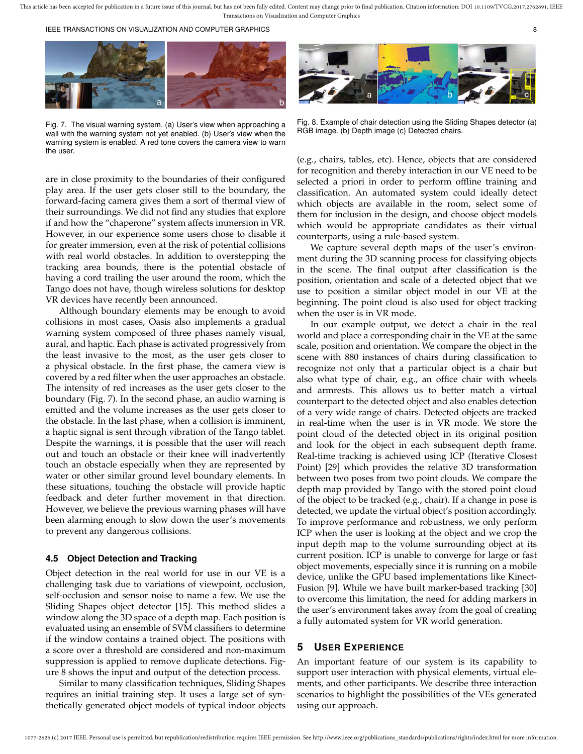IEEE TRANSACTIONS ON VISUALIZATION AND COMPUTER GRAPHICS 8



Fig. 7. The visual warning system. (a) User's view when approaching a wall with the warning system not yet enabled. (b) User's view when the warning system is enabled. A red tone covers the camera view to warn the user.

are in close proximity to the boundaries of their configured play area. If the user gets closer still to the boundary, the forward-facing camera gives them a sort of thermal view of their surroundings. We did not find any studies that explore if and how the "chaperone" system affects immersion in VR. However, in our experience some users chose to disable it for greater immersion, even at the risk of potential collisions with real world obstacles. In addition to overstepping the tracking area bounds, there is the potential obstacle of having a cord trailing the user around the room, which the Tango does not have, though wireless solutions for desktop VR devices have recently been announced.

Although boundary elements may be enough to avoid collisions in most cases, Oasis also implements a gradual warning system composed of three phases namely visual, aural, and haptic. Each phase is activated progressively from the least invasive to the most, as the user gets closer to a physical obstacle. In the first phase, the camera view is covered by a red filter when the user approaches an obstacle. The intensity of red increases as the user gets closer to the boundary (Fig. 7). In the second phase, an audio warning is emitted and the volume increases as the user gets closer to the obstacle. In the last phase, when a collision is imminent, a haptic signal is sent through vibration of the Tango tablet. Despite the warnings, it is possible that the user will reach out and touch an obstacle or their knee will inadvertently touch an obstacle especially when they are represented by water or other similar ground level boundary elements. In these situations, touching the obstacle will provide haptic feedback and deter further movement in that direction. However, we believe the previous warning phases will have been alarming enough to slow down the user's movements to prevent any dangerous collisions.

## **4.5 Object Detection and Tracking**

Object detection in the real world for use in our VE is a challenging task due to variations of viewpoint, occlusion, self-occlusion and sensor noise to name a few. We use the Sliding Shapes object detector [15]. This method slides a window along the 3D space of a depth map. Each position is evaluated using an ensemble of SVM classifiers to determine if the window contains a trained object. The positions with a score over a threshold are considered and non-maximum suppression is applied to remove duplicate detections. Figure 8 shows the input and output of the detection process.

Similar to many classification techniques, Sliding Shapes requires an initial training step. It uses a large set of synthetically generated object models of typical indoor objects



Fig. 8. Example of chair detection using the Sliding Shapes detector (a) RGB image. (b) Depth image (c) Detected chairs.

(e.g., chairs, tables, etc). Hence, objects that are considered for recognition and thereby interaction in our VE need to be selected a priori in order to perform offline training and classification. An automated system could ideally detect which objects are available in the room, select some of them for inclusion in the design, and choose object models which would be appropriate candidates as their virtual counterparts, using a rule-based system.

We capture several depth maps of the user's environment during the 3D scanning process for classifying objects in the scene. The final output after classification is the position, orientation and scale of a detected object that we use to position a similar object model in our VE at the beginning. The point cloud is also used for object tracking when the user is in VR mode.

In our example output, we detect a chair in the real world and place a corresponding chair in the VE at the same scale, position and orientation. We compare the object in the scene with 880 instances of chairs during classification to recognize not only that a particular object is a chair but also what type of chair, e.g., an office chair with wheels and armrests. This allows us to better match a virtual counterpart to the detected object and also enables detection of a very wide range of chairs. Detected objects are tracked in real-time when the user is in VR mode. We store the point cloud of the detected object in its original position and look for the object in each subsequent depth frame. Real-time tracking is achieved using ICP (Iterative Closest Point) [29] which provides the relative 3D transformation between two poses from two point clouds. We compare the depth map provided by Tango with the stored point cloud of the object to be tracked (e.g., chair). If a change in pose is detected, we update the virtual object's position accordingly. To improve performance and robustness, we only perform ICP when the user is looking at the object and we crop the input depth map to the volume surrounding object at its current position. ICP is unable to converge for large or fast object movements, especially since it is running on a mobile device, unlike the GPU based implementations like Kinect-Fusion [9]. While we have built marker-based tracking [30] to overcome this limitation, the need for adding markers in the user's environment takes away from the goal of creating a fully automated system for VR world generation.

## **5 USER EXPERIENCE**

An important feature of our system is its capability to support user interaction with physical elements, virtual elements, and other participants. We describe three interaction scenarios to highlight the possibilities of the VEs generated using our approach.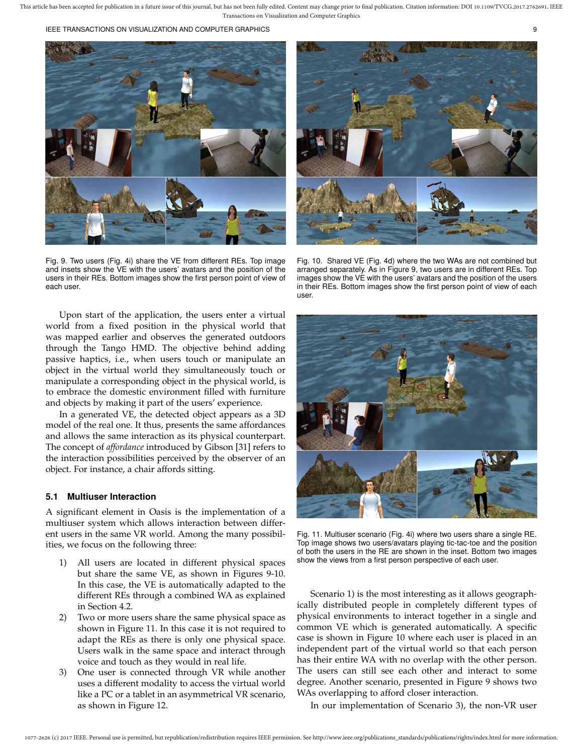IEEE TRANSACTIONS ON VISUALIZATION AND COMPUTER GRAPHICS 9



Fig. 9. Two users (Fig. 4i) share the VE from different REs. Top image and insets show the VE with the users' avatars and the position of the users in their REs. Bottom images show the first person point of view of each user.



Fig. 10. Shared VE (Fig. 4d) where the two WAs are not combined but arranged separately. As in Figure 9, two users are in different REs. Top images show the VE with the users' avatars and the position of the users in their REs. Bottom images show the first person point of view of each user.

Upon start of the application, the users enter a virtual world from a fixed position in the physical world that was mapped earlier and observes the generated outdoors through the Tango HMD. The objective behind adding passive haptics, i.e., when users touch or manipulate an object in the virtual world they simultaneously touch or manipulate a corresponding object in the physical world, is to embrace the domestic environment filled with furniture and objects by making it part of the users' experience.

In a generated VE, the detected object appears as a 3D model of the real one. It thus, presents the same affordances and allows the same interaction as its physical counterpart. The concept of *affordance* introduced by Gibson [31] refers to the interaction possibilities perceived by the observer of an object. For instance, a chair affords sitting.

## **5.1 Multiuser Interaction**

A significant element in Oasis is the implementation of a multiuser system which allows interaction between different users in the same VR world. Among the many possibilities, we focus on the following three:

- 1) All users are located in different physical spaces but share the same VE, as shown in Figures 9-10. In this case, the VE is automatically adapted to the different REs through a combined WA as explained in Section 4.2.
- 2) Two or more users share the same physical space as shown in Figure 11. In this case it is not required to adapt the REs as there is only one physical space. Users walk in the same space and interact through voice and touch as they would in real life.
- 3) One user is connected through VR while another uses a different modality to access the virtual world like a PC or a tablet in an asymmetrical VR scenario, as shown in Figure 12.



Fig. 11. Multiuser scenario (Fig. 4i) where two users share a single RE. Top image shows two users/avatars playing tic-tac-toe and the position of both the users in the RE are shown in the inset. Bottom two images show the views from a first person perspective of each user.

Scenario 1) is the most interesting as it allows geographically distributed people in completely different types of physical environments to interact together in a single and common VE which is generated automatically. A specific case is shown in Figure 10 where each user is placed in an independent part of the virtual world so that each person has their entire WA with no overlap with the other person. The users can still see each other and interact to some degree. Another scenario, presented in Figure 9 shows two WAs overlapping to afford closer interaction.

In our implementation of Scenario 3), the non-VR user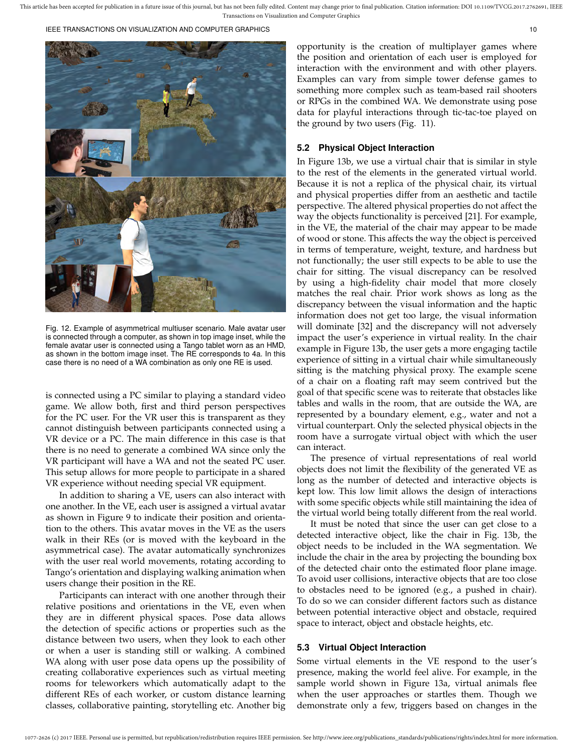#### IEEE TRANSACTIONS ON VISUALIZATION AND COMPUTER GRAPHICS 10



Fig. 12. Example of asymmetrical multiuser scenario. Male avatar user is connected through a computer, as shown in top image inset, while the female avatar user is connected using a Tango tablet worn as an HMD, as shown in the bottom image inset. The RE corresponds to 4a. In this case there is no need of a WA combination as only one RE is used.

is connected using a PC similar to playing a standard video game. We allow both, first and third person perspectives for the PC user. For the VR user this is transparent as they cannot distinguish between participants connected using a VR device or a PC. The main difference in this case is that there is no need to generate a combined WA since only the VR participant will have a WA and not the seated PC user. This setup allows for more people to participate in a shared VR experience without needing special VR equipment.

In addition to sharing a VE, users can also interact with one another. In the VE, each user is assigned a virtual avatar as shown in Figure 9 to indicate their position and orientation to the others. This avatar moves in the VE as the users walk in their REs (or is moved with the keyboard in the asymmetrical case). The avatar automatically synchronizes with the user real world movements, rotating according to Tango's orientation and displaying walking animation when users change their position in the RE.

Participants can interact with one another through their relative positions and orientations in the VE, even when they are in different physical spaces. Pose data allows the detection of specific actions or properties such as the distance between two users, when they look to each other or when a user is standing still or walking. A combined WA along with user pose data opens up the possibility of creating collaborative experiences such as virtual meeting rooms for teleworkers which automatically adapt to the different REs of each worker, or custom distance learning classes, collaborative painting, storytelling etc. Another big

opportunity is the creation of multiplayer games where the position and orientation of each user is employed for interaction with the environment and with other players. Examples can vary from simple tower defense games to something more complex such as team-based rail shooters or RPGs in the combined WA. We demonstrate using pose data for playful interactions through tic-tac-toe played on the ground by two users (Fig. 11).

#### **5.2 Physical Object Interaction**

In Figure 13b, we use a virtual chair that is similar in style to the rest of the elements in the generated virtual world. Because it is not a replica of the physical chair, its virtual and physical properties differ from an aesthetic and tactile perspective. The altered physical properties do not affect the way the objects functionality is perceived [21]. For example, in the VE, the material of the chair may appear to be made of wood or stone. This affects the way the object is perceived in terms of temperature, weight, texture, and hardness but not functionally; the user still expects to be able to use the chair for sitting. The visual discrepancy can be resolved by using a high-fidelity chair model that more closely matches the real chair. Prior work shows as long as the discrepancy between the visual information and the haptic information does not get too large, the visual information will dominate [32] and the discrepancy will not adversely impact the user's experience in virtual reality. In the chair example in Figure 13b, the user gets a more engaging tactile experience of sitting in a virtual chair while simultaneously sitting is the matching physical proxy. The example scene of a chair on a floating raft may seem contrived but the goal of that specific scene was to reiterate that obstacles like tables and walls in the room, that are outside the WA, are represented by a boundary element, e.g., water and not a virtual counterpart. Only the selected physical objects in the room have a surrogate virtual object with which the user can interact.

The presence of virtual representations of real world objects does not limit the flexibility of the generated VE as long as the number of detected and interactive objects is kept low. This low limit allows the design of interactions with some specific objects while still maintaining the idea of the virtual world being totally different from the real world.

It must be noted that since the user can get close to a detected interactive object, like the chair in Fig. 13b, the object needs to be included in the WA segmentation. We include the chair in the area by projecting the bounding box of the detected chair onto the estimated floor plane image. To avoid user collisions, interactive objects that are too close to obstacles need to be ignored (e.g., a pushed in chair). To do so we can consider different factors such as distance between potential interactive object and obstacle, required space to interact, object and obstacle heights, etc.

## **5.3 Virtual Object Interaction**

Some virtual elements in the VE respond to the user's presence, making the world feel alive. For example, in the sample world shown in Figure 13a, virtual animals flee when the user approaches or startles them. Though we demonstrate only a few, triggers based on changes in the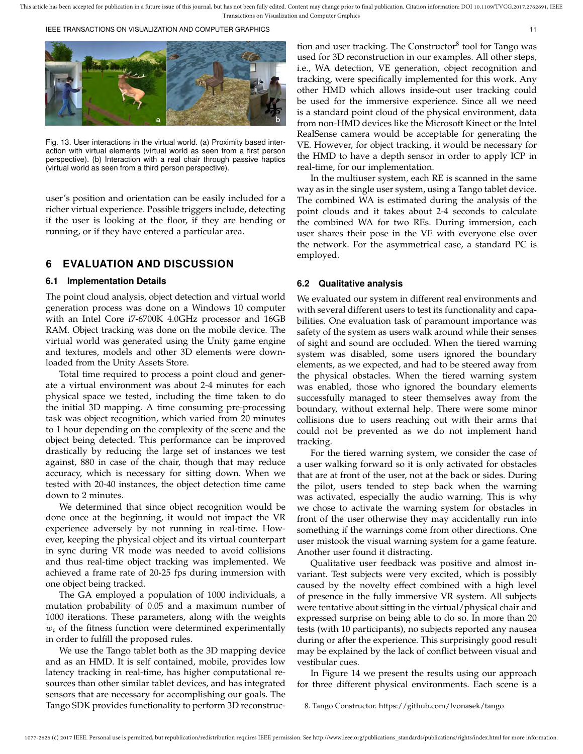IEEE TRANSACTIONS ON VISUALIZATION AND COMPUTER GRAPHICS **11** and 20 years 11 and 20 years 11 and 20 years 11 and 20 years 11 and 20 years 11 and 20 years 11 and 20 years 11 and 20 years 11 and 20 years 11 and 20 years 12



Fig. 13. User interactions in the virtual world. (a) Proximity based interaction with virtual elements (virtual world as seen from a first person perspective). (b) Interaction with a real chair through passive haptics (virtual world as seen from a third person perspective).

user's position and orientation can be easily included for a richer virtual experience. Possible triggers include, detecting if the user is looking at the floor, if they are bending or running, or if they have entered a particular area.

# **6 EVALUATION AND DISCUSSION**

## **6.1 Implementation Details**

The point cloud analysis, object detection and virtual world generation process was done on a Windows 10 computer with an Intel Core i7-6700K 4.0GHz processor and 16GB RAM. Object tracking was done on the mobile device. The virtual world was generated using the Unity game engine and textures, models and other 3D elements were downloaded from the Unity Assets Store.

Total time required to process a point cloud and generate a virtual environment was about 2-4 minutes for each physical space we tested, including the time taken to do the initial 3D mapping. A time consuming pre-processing task was object recognition, which varied from 20 minutes to 1 hour depending on the complexity of the scene and the object being detected. This performance can be improved drastically by reducing the large set of instances we test against, 880 in case of the chair, though that may reduce accuracy, which is necessary for sitting down. When we tested with 20-40 instances, the object detection time came down to 2 minutes.

We determined that since object recognition would be done once at the beginning, it would not impact the VR experience adversely by not running in real-time. However, keeping the physical object and its virtual counterpart in sync during VR mode was needed to avoid collisions and thus real-time object tracking was implemented. We achieved a frame rate of 20-25 fps during immersion with one object being tracked.

The GA employed a population of 1000 individuals, a mutation probability of 0.05 and a maximum number of 1000 iterations. These parameters, along with the weights  $w<sub>i</sub>$  of the fitness function were determined experimentally in order to fulfill the proposed rules.

We use the Tango tablet both as the 3D mapping device and as an HMD. It is self contained, mobile, provides low latency tracking in real-time, has higher computational resources than other similar tablet devices, and has integrated sensors that are necessary for accomplishing our goals. The Tango SDK provides functionality to perform 3D reconstruction and user tracking. The Constructor<sup>8</sup> tool for Tango was used for 3D reconstruction in our examples. All other steps, i.e., WA detection, VE generation, object recognition and tracking, were specifically implemented for this work. Any other HMD which allows inside-out user tracking could be used for the immersive experience. Since all we need is a standard point cloud of the physical environment, data from non-HMD devices like the Microsoft Kinect or the Intel RealSense camera would be acceptable for generating the VE. However, for object tracking, it would be necessary for the HMD to have a depth sensor in order to apply ICP in real-time, for our implementation.

In the multiuser system, each RE is scanned in the same way as in the single user system, using a Tango tablet device. The combined WA is estimated during the analysis of the point clouds and it takes about 2-4 seconds to calculate the combined WA for two REs. During immersion, each user shares their pose in the VE with everyone else over the network. For the asymmetrical case, a standard PC is employed.

## **6.2 Qualitative analysis**

We evaluated our system in different real environments and with several different users to test its functionality and capabilities. One evaluation task of paramount importance was safety of the system as users walk around while their senses of sight and sound are occluded. When the tiered warning system was disabled, some users ignored the boundary elements, as we expected, and had to be steered away from the physical obstacles. When the tiered warning system was enabled, those who ignored the boundary elements successfully managed to steer themselves away from the boundary, without external help. There were some minor collisions due to users reaching out with their arms that could not be prevented as we do not implement hand tracking.

For the tiered warning system, we consider the case of a user walking forward so it is only activated for obstacles that are at front of the user, not at the back or sides. During the pilot, users tended to step back when the warning was activated, especially the audio warning. This is why we chose to activate the warning system for obstacles in front of the user otherwise they may accidentally run into something if the warnings come from other directions. One user mistook the visual warning system for a game feature. Another user found it distracting.

Qualitative user feedback was positive and almost invariant. Test subjects were very excited, which is possibly caused by the novelty effect combined with a high level of presence in the fully immersive VR system. All subjects were tentative about sitting in the virtual/physical chair and expressed surprise on being able to do so. In more than 20 tests (with 10 participants), no subjects reported any nausea during or after the experience. This surprisingly good result may be explained by the lack of conflict between visual and vestibular cues.

In Figure 14 we present the results using our approach for three different physical environments. Each scene is a

8. Tango Constructor. https://github.com/lvonasek/tango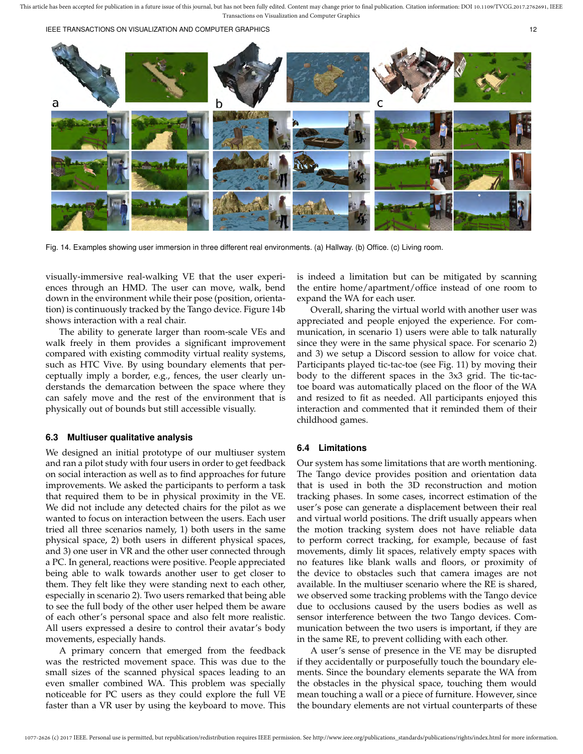IEEE TRANSACTIONS ON VISUALIZATION AND COMPUTER GRAPHICS 12



Fig. 14. Examples showing user immersion in three different real environments. (a) Hallway. (b) Office. (c) Living room.

visually-immersive real-walking VE that the user experiences through an HMD. The user can move, walk, bend down in the environment while their pose (position, orientation) is continuously tracked by the Tango device. Figure 14b shows interaction with a real chair.

The ability to generate larger than room-scale VEs and walk freely in them provides a significant improvement compared with existing commodity virtual reality systems, such as HTC Vive. By using boundary elements that perceptually imply a border, e.g., fences, the user clearly understands the demarcation between the space where they can safely move and the rest of the environment that is physically out of bounds but still accessible visually.

## **6.3 Multiuser qualitative analysis**

We designed an initial prototype of our multiuser system and ran a pilot study with four users in order to get feedback on social interaction as well as to find approaches for future improvements. We asked the participants to perform a task that required them to be in physical proximity in the VE. We did not include any detected chairs for the pilot as we wanted to focus on interaction between the users. Each user tried all three scenarios namely, 1) both users in the same physical space, 2) both users in different physical spaces, and 3) one user in VR and the other user connected through a PC. In general, reactions were positive. People appreciated being able to walk towards another user to get closer to them. They felt like they were standing next to each other, especially in scenario 2). Two users remarked that being able to see the full body of the other user helped them be aware of each other's personal space and also felt more realistic. All users expressed a desire to control their avatar's body movements, especially hands.

A primary concern that emerged from the feedback was the restricted movement space. This was due to the small sizes of the scanned physical spaces leading to an even smaller combined WA. This problem was specially noticeable for PC users as they could explore the full VE faster than a VR user by using the keyboard to move. This is indeed a limitation but can be mitigated by scanning the entire home/apartment/office instead of one room to expand the WA for each user.

Overall, sharing the virtual world with another user was appreciated and people enjoyed the experience. For communication, in scenario 1) users were able to talk naturally since they were in the same physical space. For scenario 2) and 3) we setup a Discord session to allow for voice chat. Participants played tic-tac-toe (see Fig. 11) by moving their body to the different spaces in the 3x3 grid. The tic-tactoe board was automatically placed on the floor of the WA and resized to fit as needed. All participants enjoyed this interaction and commented that it reminded them of their childhood games.

## **6.4 Limitations**

Our system has some limitations that are worth mentioning. The Tango device provides position and orientation data that is used in both the 3D reconstruction and motion tracking phases. In some cases, incorrect estimation of the user's pose can generate a displacement between their real and virtual world positions. The drift usually appears when the motion tracking system does not have reliable data to perform correct tracking, for example, because of fast movements, dimly lit spaces, relatively empty spaces with no features like blank walls and floors, or proximity of the device to obstacles such that camera images are not available. In the multiuser scenario where the RE is shared, we observed some tracking problems with the Tango device due to occlusions caused by the users bodies as well as sensor interference between the two Tango devices. Communication between the two users is important, if they are in the same RE, to prevent colliding with each other.

A user's sense of presence in the VE may be disrupted if they accidentally or purposefully touch the boundary elements. Since the boundary elements separate the WA from the obstacles in the physical space, touching them would mean touching a wall or a piece of furniture. However, since the boundary elements are not virtual counterparts of these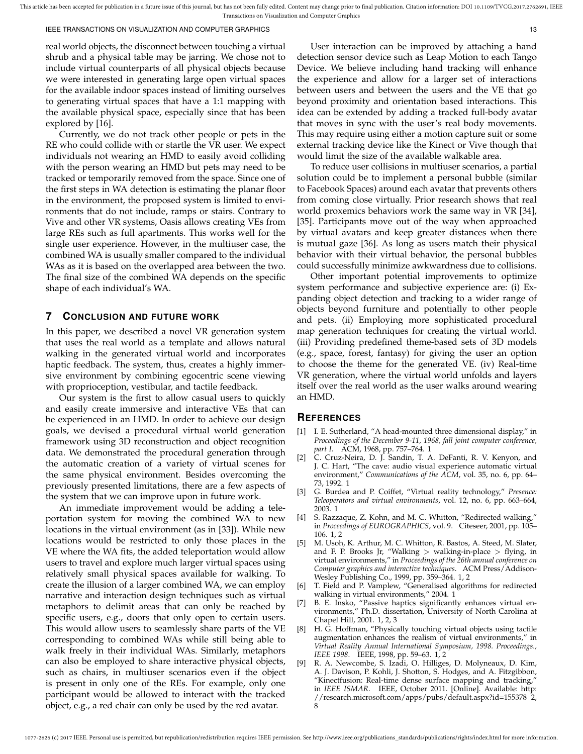#### IEEE TRANSACTIONS ON VISUALIZATION AND COMPUTER GRAPHICS 13 13

real world objects, the disconnect between touching a virtual shrub and a physical table may be jarring. We chose not to include virtual counterparts of all physical objects because we were interested in generating large open virtual spaces for the available indoor spaces instead of limiting ourselves to generating virtual spaces that have a 1:1 mapping with the available physical space, especially since that has been explored by [16].

Currently, we do not track other people or pets in the RE who could collide with or startle the VR user. We expect individuals not wearing an HMD to easily avoid colliding with the person wearing an HMD but pets may need to be tracked or temporarily removed from the space. Since one of the first steps in WA detection is estimating the planar floor in the environment, the proposed system is limited to environments that do not include, ramps or stairs. Contrary to Vive and other VR systems, Oasis allows creating VEs from large REs such as full apartments. This works well for the single user experience. However, in the multiuser case, the combined WA is usually smaller compared to the individual WAs as it is based on the overlapped area between the two. The final size of the combined WA depends on the specific shape of each individual's WA.

## **7 CONCLUSION AND FUTURE WORK**

In this paper, we described a novel VR generation system that uses the real world as a template and allows natural walking in the generated virtual world and incorporates haptic feedback. The system, thus, creates a highly immersive environment by combining egocentric scene viewing with proprioception, vestibular, and tactile feedback.

Our system is the first to allow casual users to quickly and easily create immersive and interactive VEs that can be experienced in an HMD. In order to achieve our design goals, we devised a procedural virtual world generation framework using 3D reconstruction and object recognition data. We demonstrated the procedural generation through the automatic creation of a variety of virtual scenes for the same physical environment. Besides overcoming the previously presented limitations, there are a few aspects of the system that we can improve upon in future work.

An immediate improvement would be adding a teleportation system for moving the combined WA to new locations in the virtual environment (as in [33]). While new locations would be restricted to only those places in the VE where the WA fits, the added teleportation would allow users to travel and explore much larger virtual spaces using relatively small physical spaces available for walking. To create the illusion of a larger combined WA, we can employ narrative and interaction design techniques such as virtual metaphors to delimit areas that can only be reached by specific users, e.g., doors that only open to certain users. This would allow users to seamlessly share parts of the VE corresponding to combined WAs while still being able to walk freely in their individual WAs. Similarly, metaphors can also be employed to share interactive physical objects, such as chairs, in multiuser scenarios even if the object is present in only one of the REs. For example, only one participant would be allowed to interact with the tracked object, e.g., a red chair can only be used by the red avatar.

User interaction can be improved by attaching a hand detection sensor device such as Leap Motion to each Tango Device. We believe including hand tracking will enhance the experience and allow for a larger set of interactions between users and between the users and the VE that go beyond proximity and orientation based interactions. This idea can be extended by adding a tracked full-body avatar that moves in sync with the user's real body movements. This may require using either a motion capture suit or some external tracking device like the Kinect or Vive though that would limit the size of the available walkable area.

To reduce user collisions in multiuser scenarios, a partial solution could be to implement a personal bubble (similar to Facebook Spaces) around each avatar that prevents others from coming close virtually. Prior research shows that real world proxemics behaviors work the same way in VR [34], [35]. Participants move out of the way when approached by virtual avatars and keep greater distances when there is mutual gaze [36]. As long as users match their physical behavior with their virtual behavior, the personal bubbles could successfully minimize awkwardness due to collisions.

Other important potential improvements to optimize system performance and subjective experience are: (i) Expanding object detection and tracking to a wider range of objects beyond furniture and potentially to other people and pets. (ii) Employing more sophisticated procedural map generation techniques for creating the virtual world. (iii) Providing predefined theme-based sets of 3D models (e.g., space, forest, fantasy) for giving the user an option to choose the theme for the generated VE. (iv) Real-time VR generation, where the virtual world unfolds and layers itself over the real world as the user walks around wearing an HMD.

## **REFERENCES**

- [1] I. E. Sutherland, "A head-mounted three dimensional display," in *Proceedings of the December 9-11, 1968, fall joint computer conference, part I*. ACM, 1968, pp. 757–764. 1
- [2] C. Cruz-Neira, D. J. Sandin, T. A. DeFanti, R. V. Kenyon, and J. C. Hart, "The cave: audio visual experience automatic virtual environment," *Communications of the ACM*, vol. 35, no. 6, pp. 64– 73, 1992. 1
- [3] G. Burdea and P. Coiffet, "Virtual reality technology," *Presence: Teleoperators and virtual environments*, vol. 12, no. 6, pp. 663–664, 2003. 1
- [4] S. Razzaque, Z. Kohn, and M. C. Whitton, "Redirected walking," in *Proceedings of EUROGRAPHICS*, vol. 9. Citeseer, 2001, pp. 105– 106. 1, 2
- [5] M. Usoh, K. Arthur, M. C. Whitton, R. Bastos, A. Steed, M. Slater, and F. P. Brooks Jr, "Walking > walking-in-place > flying, in virtual environments," in *Proceedings of the 26th annual conference on Computer graphics and interactive techniques*. ACM Press/Addison-Wesley Publishing Co., 1999, pp. 359–364. 1, 2
- [6] T. Field and P. Vamplew, "Generalised algorithms for redirected walking in virtual environments," 2004. 1
- [7] B. E. Insko, "Passive haptics significantly enhances virtual environments," Ph.D. dissertation, University of North Carolina at Chapel Hill, 2001. 1, 2, 3
- [8] H. G. Hoffman, "Physically touching virtual objects using tactile augmentation enhances the realism of virtual environments," in *Virtual Reality Annual International Symposium, 1998. Proceedings., IEEE 1998*. IEEE, 1998, pp. 59–63. 1, 2
- [9] R. A. Newcombe, S. Izadi, O. Hilliges, D. Molyneaux, D. Kim, A. J. Davison, P. Kohli, J. Shotton, S. Hodges, and A. Fitzgibbon, "Kinectfusion: Real-time dense surface mapping and tracking,' in *IEEE ISMAR*. IEEE, October 2011. [Online]. Available: [http:](http://research.microsoft.com/apps/pubs/default.aspx?id=155378) [//research.microsoft.com/apps/pubs/default.aspx?id=155378](http://research.microsoft.com/apps/pubs/default.aspx?id=155378) 2, 8